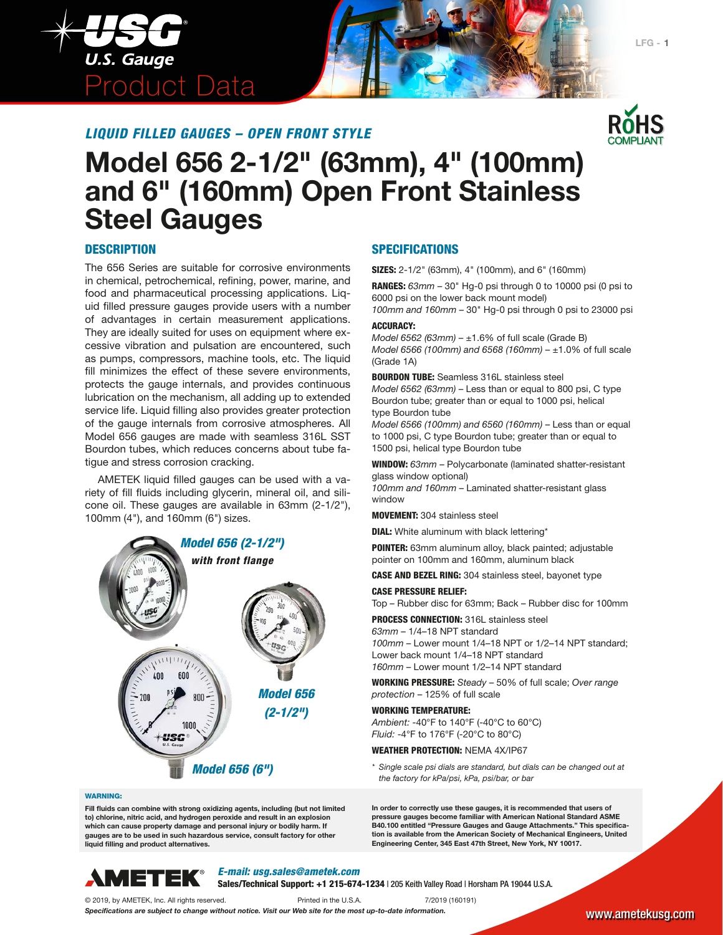



# **Model 656 2-1/2" (63mm), 4" (100mm) and 6" (160mm) Open Front Stainless Steel Gauges**

#### **DESCRIPTION**

The 656 Series are suitable for corrosive environments in chemical, petrochemical, refining, power, marine, and food and pharmaceutical processing applications. Liquid filled pressure gauges provide users with a number of advantages in certain measurement applications. They are ideally suited for uses on equipment where excessive vibration and pulsation are encountered, such as pumps, compressors, machine tools, etc. The liquid fill minimizes the effect of these severe environments, protects the gauge internals, and provides continuous lubrication on the mechanism, all adding up to extended service life. Liquid filling also provides greater protection of the gauge internals from corrosive atmospheres. All Model 656 gauges are made with seamless 316L SST Bourdon tubes, which reduces concerns about tube fatigue and stress corrosion cracking.

AMETEK liquid filled gauges can be used with a variety of fill fluids including glycerin, mineral oil, and silicone oil. These gauges are available in 63mm (2-1/2"), 100mm (4"), and 160mm (6") sizes.



#### WARNING:

**Fill fluids can combine with strong oxidizing agents, including (but not limited to) chlorine, nitric acid, and hydrogen peroxide and result in an explosion which can cause property damage and personal injury or bodily harm. If gauges are to be used in such hazardous service, consult factory for other liquid filling and product alternatives.**



*E-mail: usg.sales@ametek.com*

Sales/Technical Support: +1 215-674-1234 | 205 Keith Valley Road | Horsham PA 19044 U.S.A.

© 2019, by AMETEK, Inc. All rights reserved. Printed in the U.S.A. 7/2019 (160191)

*Specifications are subject to change without notice. Visit our Web site for the most up-to-date information.*

#### SPECIFICATIONS

SIZES: 2-1/2" (63mm), 4" (100mm), and 6" (160mm)

RANGES: *63mm* – 30" Hg-0 psi through 0 to 10000 psi (0 psi to 6000 psi on the lower back mount model)

*100mm and 160mm* – 30" Hg-0 psi through 0 psi to 23000 psi ACCURACY:

*Model 6562 (63mm)* – ±1.6% of full scale (Grade B) *Model 6566 (100mm) and 6568 (160mm)* – ±1.0% of full scale (Grade 1A)

BOURDON TUBE: Seamless 316L stainless steel *Model 6562 (63mm)* – Less than or equal to 800 psi, C type Bourdon tube; greater than or equal to 1000 psi, helical type Bourdon tube

*Model 6566 (100mm) and 6560 (160mm)* – Less than or equal to 1000 psi, C type Bourdon tube; greater than or equal to 1500 psi, helical type Bourdon tube

WINDOW: *63mm* – Polycarbonate (laminated shatter-resistant glass window optional)

*100mm and 160mm* – Laminated shatter-resistant glass window

MOVEMENT: 304 stainless steel

**DIAL:** White aluminum with black lettering\*

POINTER: 63mm aluminum alloy, black painted; adjustable pointer on 100mm and 160mm, aluminum black

CASE AND BEZEL RING: 304 stainless steel, bayonet type

#### CASE PRESSURE RELIEF:

Top – Rubber disc for 63mm; Back – Rubber disc for 100mm

PROCESS CONNECTION: 316L stainless steel

*63mm* – 1/4–18 NPT standard *100mm* – Lower mount 1/4–18 NPT or 1/2–14 NPT standard; Lower back mount 1/4–18 NPT standard *160mm* – Lower mount 1/2–14 NPT standard

WORKING PRESSURE: *Steady* – 50% of full scale; *Over range protection* – 125% of full scale

#### WORKING TEMPERATURE:

*Ambient:* -40°F to 140°F (-40°C to 60°C) *Fluid:* -4°F to 176°F (-20°C to 80°C)

#### WEATHER PROTECTION: NEMA 4X/IP67

*\* Single scale psi dials are standard, but dials can be changed out at the factory for kPa/psi, kPa, psi/bar, or bar*

**In order to correctly use these gauges, it is recommended that users of pressure gauges become familiar with American National Standard ASME B40.100 entitled "Pressure Gauges and Gauge Attachments." This specification is available from the American Society of Mechanical Engineers, United Engineering Center, 345 East 47th Street, New York, NY 10017.**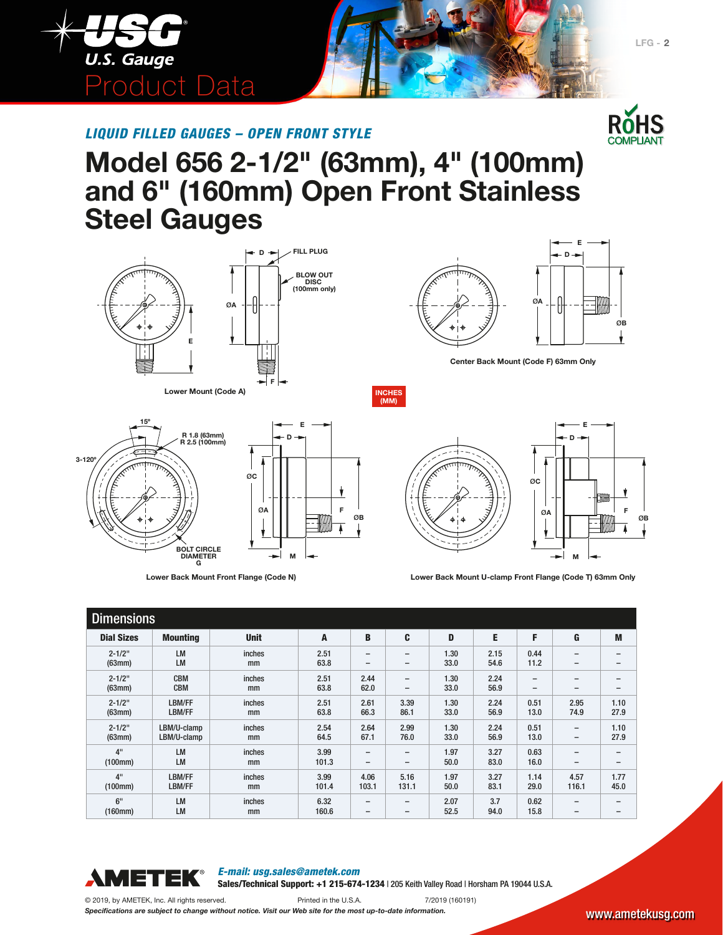

# **Model 656 2-1/2" (63mm), 4" (100mm) and 6" (160mm) Open Front Stainless Steel Gauges**

**BLOW OUT DISC (100mm only)**

**D FILL PLUG**



**Lower Mount (Code A)**

**R 1.8 (63mm) R 2.5 (100mm)**

**BOLT CIRCLE DIAMETER G**

**15º**

**3-120º**





**Center Back Mount (Code F) 63mm Only**

 $\emptyset$ **B** 

**F**

**INCHES (MM)**



**Lower Back Mount Front Flange (Code N) Lower Back Mount U-clamp Front Flange (Code T) 63mm Only**

| <b>Dimensions</b> |                 |             |       |                          |                          |      |      |                          |                          |                 |
|-------------------|-----------------|-------------|-------|--------------------------|--------------------------|------|------|--------------------------|--------------------------|-----------------|
| <b>Dial Sizes</b> | <b>Mounting</b> | <b>Unit</b> | A     | B                        | C                        | D    | E    | F                        | G                        | M               |
| $2 - 1/2"$        | <b>LM</b>       | inches      | 2.51  | $\overline{\phantom{0}}$ | $\overline{\phantom{0}}$ | 1.30 | 2.15 | 0.44                     | $\overline{\phantom{0}}$ | $\qquad \qquad$ |
| (63mm)            | <b>LM</b>       | mm          | 63.8  | $\qquad \qquad$          | $\overline{\phantom{0}}$ | 33.0 | 54.6 | 11.2                     | $\overline{\phantom{0}}$ | $\qquad \qquad$ |
| $2 - 1/2"$        | <b>CBM</b>      | inches      | 2.51  | 2.44                     | $\qquad \qquad$          | 1.30 | 2.24 | $\overline{\phantom{0}}$ | $\overline{\phantom{0}}$ | $\qquad \qquad$ |
| (63mm)            | <b>CBM</b>      | mm          | 63.8  | 62.0                     | -                        | 33.0 | 56.9 | $\overline{\phantom{0}}$ | $\overline{\phantom{0}}$ | $\qquad \qquad$ |
| $2 - 1/2"$        | LBM/FF          | inches      | 2.51  | 2.61                     | 3.39                     | 1.30 | 2.24 | 0.51                     | 2.95                     | 1.10            |
| (63mm)            | LBM/FF          | mm          | 63.8  | 66.3                     | 86.1                     | 33.0 | 56.9 | 13.0                     | 74.9                     | 27.9            |
| $2 - 1/2"$        | LBM/U-clamp     | inches      | 2.54  | 2.64                     | 2.99                     | 1.30 | 2.24 | 0.51                     | $\qquad \qquad -$        | 1.10            |
| (63mm)            | LBM/U-clamp     | mm          | 64.5  | 67.1                     | 76.0                     | 33.0 | 56.9 | 13.0                     | $\overline{\phantom{m}}$ | 27.9            |
| 4 <sup>11</sup>   | <b>LM</b>       | inches      | 3.99  | $\overline{\phantom{0}}$ | $\overline{\phantom{0}}$ | 1.97 | 3.27 | 0.63                     | $\overline{\phantom{0}}$ | $\qquad \qquad$ |
| (100mm)           | <b>LM</b>       | mm          | 101.3 | $\qquad \qquad$          | $\overline{\phantom{0}}$ | 50.0 | 83.0 | 16.0                     | $\overline{\phantom{m}}$ | $\qquad \qquad$ |
| 4"                | LBM/FF          | inches      | 3.99  | 4.06                     | 5.16                     | 1.97 | 3.27 | 1.14                     | 4.57                     | 1.77            |
| (100mm)           | LBM/FF          | mm          | 101.4 | 103.1                    | 131.1                    | 50.0 | 83.1 | 29.0                     | 116.1                    | 45.0            |
| 6"                | <b>LM</b>       | inches      | 6.32  | $\overline{\phantom{0}}$ | $\overline{\phantom{0}}$ | 2.07 | 3.7  | 0.62                     | $\overline{\phantom{0}}$ | $\qquad \qquad$ |
| (160mm)           | LM              | mm          | 160.6 | $\qquad \qquad$          | $\overline{\phantom{0}}$ | 52.5 | 94.0 | 15.8                     | $\overline{\phantom{0}}$ | $\qquad \qquad$ |



*E-mail: usg.sales@ametek.com*

Sales/Technical Support: +1 215-674-1234 | 205 Keith Valley Road | Horsham PA 19044 U.S.A.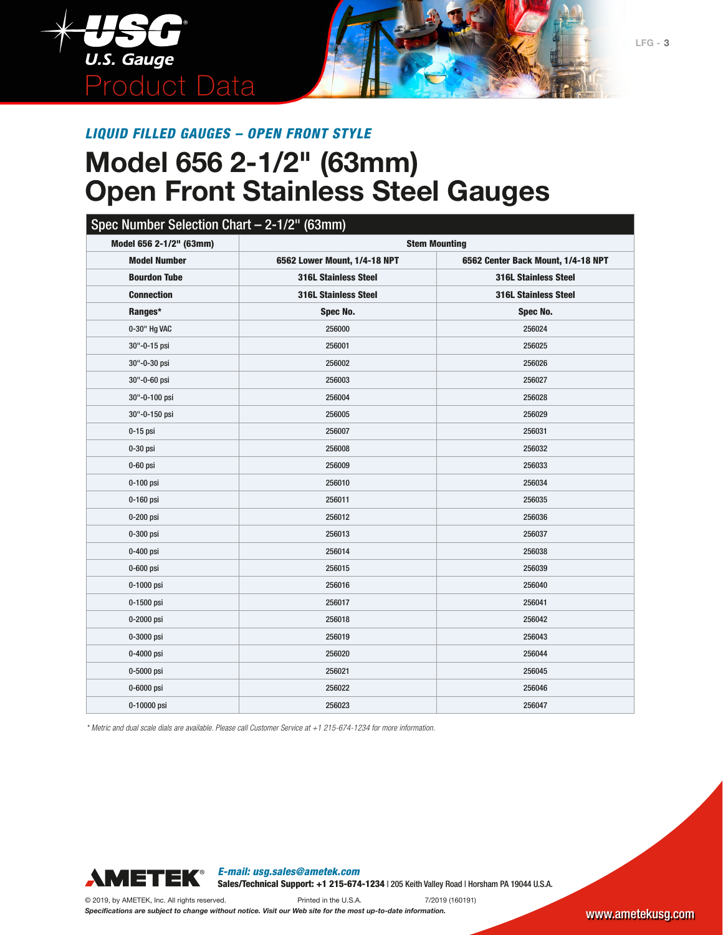

# **Model 656 2-1/2" (63mm) Open Front Stainless Steel Gauges**

### Spec Number Selection Chart – 2-1/2" (63mm)

| Model 656 2-1/2" (63mm) | <b>Stem Mounting</b>         |                                    |
|-------------------------|------------------------------|------------------------------------|
| <b>Model Number</b>     | 6562 Lower Mount, 1/4-18 NPT | 6562 Center Back Mount, 1/4-18 NPT |
| <b>Bourdon Tube</b>     | <b>316L Stainless Steel</b>  | <b>316L Stainless Steel</b>        |
| <b>Connection</b>       | <b>316L Stainless Steel</b>  | <b>316L Stainless Steel</b>        |
| Ranges*                 | Spec No.                     | Spec No.                           |
| 0-30" Hg VAC            | 256000                       | 256024                             |
| 30"-0-15 psi            | 256001                       | 256025                             |
| 30"-0-30 psi            | 256002                       | 256026                             |
| 30"-0-60 psi            | 256003                       | 256027                             |
| 30"-0-100 psi           | 256004                       | 256028                             |
| 30"-0-150 psi           | 256005                       | 256029                             |
| $0-15$ psi              | 256007                       | 256031                             |
| 0-30 psi                | 256008                       | 256032                             |
| $0-60$ psi              | 256009                       | 256033                             |
| 0-100 psi               | 256010                       | 256034                             |
| 0-160 psi               | 256011                       | 256035                             |
| 0-200 psi               | 256012                       | 256036                             |
| 0-300 psi               | 256013                       | 256037                             |
| 0-400 psi               | 256014                       | 256038                             |
| 0-600 psi               | 256015                       | 256039                             |
| 0-1000 psi              | 256016                       | 256040                             |
| 0-1500 psi              | 256017                       | 256041                             |
| 0-2000 psi              | 256018                       | 256042                             |
| 0-3000 psi              | 256019                       | 256043                             |
| 0-4000 psi              | 256020                       | 256044                             |
| 0-5000 psi              | 256021                       | 256045                             |
| 0-6000 psi              | 256022                       | 256046                             |
| 0-10000 psi             | 256023                       | 256047                             |

*\* Metric and dual scale dials are available. Please call Customer Service at +1 215-674-1234 for more information.*



*E-mail: usg.sales@ametek.com* Sales/Technical Support: +1 215-674-1234 | 205 Keith Valley Road | Horsham PA 19044 U.S.A.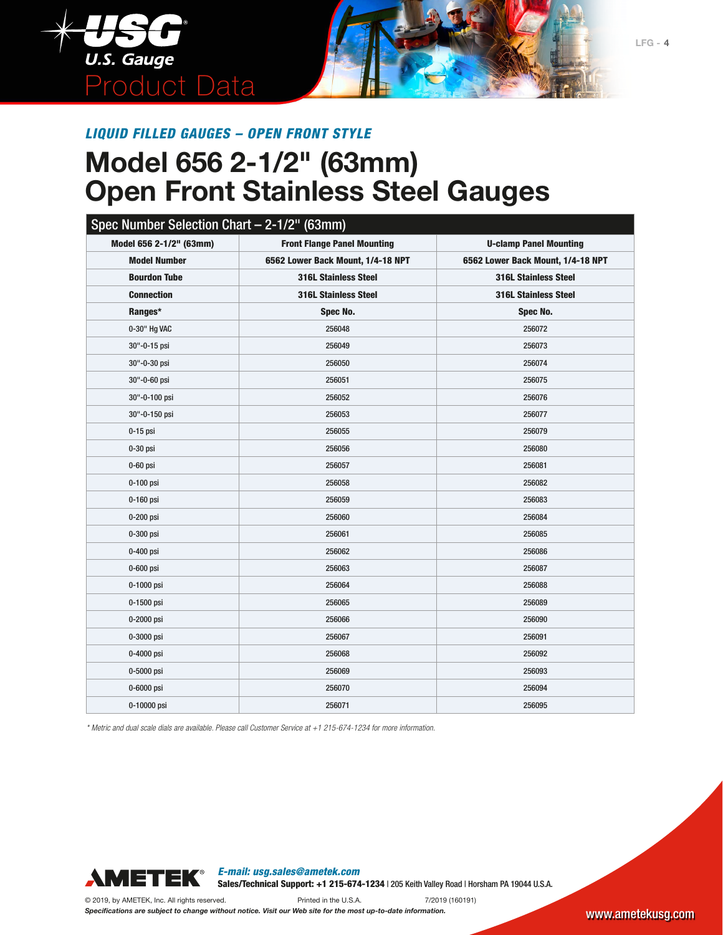

# **Model 656 2-1/2" (63mm) Open Front Stainless Steel Gauges**

| Spec Number Selection Chart - 2-1/2" (63mm) |                                    |                                   |
|---------------------------------------------|------------------------------------|-----------------------------------|
| Model 656 2-1/2" (63mm)                     | <b>Front Flange Panel Mounting</b> | <b>U-clamp Panel Mounting</b>     |
| <b>Model Number</b>                         | 6562 Lower Back Mount, 1/4-18 NPT  | 6562 Lower Back Mount, 1/4-18 NPT |
| <b>Bourdon Tube</b>                         | <b>316L Stainless Steel</b>        | <b>316L Stainless Steel</b>       |
| <b>Connection</b>                           | <b>316L Stainless Steel</b>        | <b>316L Stainless Steel</b>       |
| Ranges*                                     | Spec No.                           | Spec No.                          |
| 0-30" Hg VAC                                | 256048                             | 256072                            |
| 30"-0-15 psi                                | 256049                             | 256073                            |
| 30"-0-30 psi                                | 256050                             | 256074                            |
| 30"-0-60 psi                                | 256051                             | 256075                            |
| 30"-0-100 psi                               | 256052                             | 256076                            |
| 30"-0-150 psi                               | 256053                             | 256077                            |
| $0-15$ psi                                  | 256055                             | 256079                            |
| $0-30$ psi                                  | 256056                             | 256080                            |
| $0-60$ psi                                  | 256057                             | 256081                            |
| 0-100 psi                                   | 256058                             | 256082                            |
| 0-160 psi                                   | 256059                             | 256083                            |
| $0-200$ psi                                 | 256060                             | 256084                            |
| 0-300 psi                                   | 256061                             | 256085                            |
| 0-400 psi                                   | 256062                             | 256086                            |
| 0-600 psi                                   | 256063                             | 256087                            |
| 0-1000 psi                                  | 256064                             | 256088                            |
| 0-1500 psi                                  | 256065                             | 256089                            |
| 0-2000 psi                                  | 256066                             | 256090                            |
| 0-3000 psi                                  | 256067                             | 256091                            |
| 0-4000 psi                                  | 256068                             | 256092                            |
| 0-5000 psi                                  | 256069                             | 256093                            |
| 0-6000 psi                                  | 256070                             | 256094                            |
| 0-10000 psi                                 | 256071                             | 256095                            |

*\* Metric and dual scale dials are available. Please call Customer Service at +1 215-674-1234 for more information.*



*E-mail: usg.sales@ametek.com* Sales/Technical Support: +1 215-674-1234 | 205 Keith Valley Road | Horsham PA 19044 U.S.A.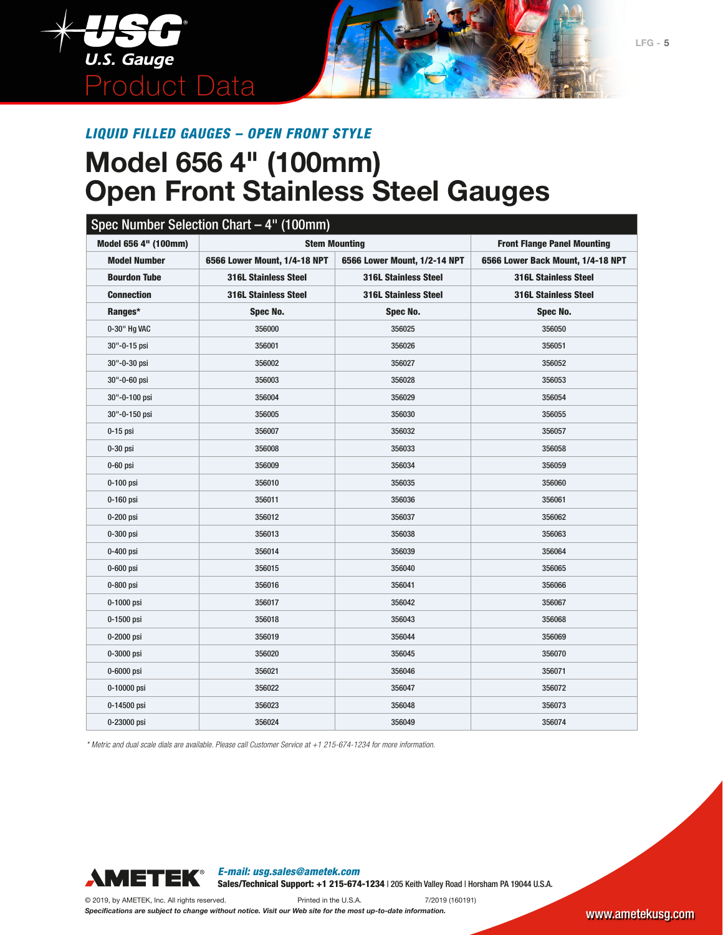

# **Model 656 4" (100mm) Open Front Stainless Steel Gauges**

| Model 656 4" (100mm) |                              | <b>Stem Mounting</b>         | <b>Front Flange Panel Mounting</b> |
|----------------------|------------------------------|------------------------------|------------------------------------|
| <b>Model Number</b>  | 6566 Lower Mount, 1/4-18 NPT | 6566 Lower Mount, 1/2-14 NPT | 6566 Lower Back Mount, 1/4-18 NPT  |
| <b>Bourdon Tube</b>  | <b>316L Stainless Steel</b>  | <b>316L Stainless Steel</b>  | <b>316L Stainless Steel</b>        |
| <b>Connection</b>    | <b>316L Stainless Steel</b>  | <b>316L Stainless Steel</b>  | <b>316L Stainless Steel</b>        |
| Ranges*              | Spec No.                     | Spec No.                     | Spec No.                           |
| 0-30" Hg VAC         | 356000                       | 356025                       | 356050                             |
| 30"-0-15 psi         | 356001                       | 356026                       | 356051                             |
| 30"-0-30 psi         | 356002                       | 356027                       | 356052                             |
| 30"-0-60 psi         | 356003                       | 356028                       | 356053                             |
| 30"-0-100 psi        | 356004                       | 356029                       | 356054                             |
| 30"-0-150 psi        | 356005                       | 356030                       | 356055                             |
| $0-15$ psi           | 356007                       | 356032                       | 356057                             |
| $0-30$ psi           | 356008                       | 356033                       | 356058                             |
| $0-60$ psi           | 356009                       | 356034                       | 356059                             |
| $0-100$ psi          | 356010                       | 356035                       | 356060                             |
| 0-160 psi            | 356011                       | 356036                       | 356061                             |
| 0-200 psi            | 356012                       | 356037                       | 356062                             |
| 0-300 psi            | 356013                       | 356038                       | 356063                             |
| 0-400 psi            | 356014                       | 356039                       | 356064                             |
| 0-600 psi            | 356015                       | 356040                       | 356065                             |
| 0-800 psi            | 356016                       | 356041                       | 356066                             |
| 0-1000 psi           | 356017                       | 356042                       | 356067                             |
| 0-1500 psi           | 356018                       | 356043                       | 356068                             |
| 0-2000 psi           | 356019                       | 356044                       | 356069                             |
| 0-3000 psi           | 356020                       | 356045                       | 356070                             |
| $0-6000$ psi         | 356021                       | 356046                       | 356071                             |
| 0-10000 psi          | 356022                       | 356047                       | 356072                             |
| 0-14500 psi          | 356023                       | 356048                       | 356073                             |
| 0-23000 psi          | 356024                       | 356049                       | 356074                             |

*\* Metric and dual scale dials are available. Please call Customer Service at +1 215-674-1234 for more information.*



*E-mail: usg.sales@ametek.com* Sales/Technical Support: +1 215-674-1234 | 205 Keith Valley Road | Horsham PA 19044 U.S.A.